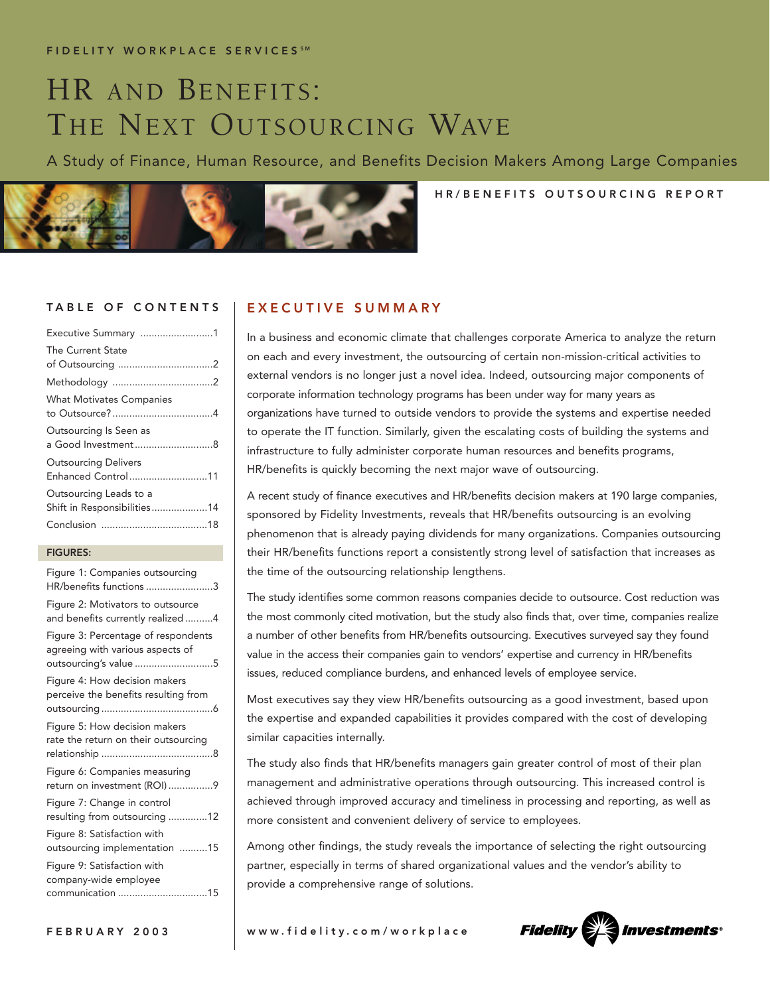# HR AND BENEFITS: THE NEXT OUTSOURCING WAVE

A Study of Finance, Human Resource, and Benefits Decision Makers Among Large Companies



# HR/BENEFITS OUTSOURCING REPORT

| Executive Summary 1                                   |
|-------------------------------------------------------|
| The Current State                                     |
|                                                       |
|                                                       |
| <b>What Motivates Companies</b>                       |
| Outsourcing Is Seen as<br>a Good Investment8          |
| <b>Outsourcing Delivers</b><br>Enhanced Control11     |
| Outsourcing Leads to a<br>Shift in Responsibilities14 |
|                                                       |
|                                                       |

### FIGURES:

| Figure 1: Companies outsourcing<br>HR/benefits functions 3                                       |
|--------------------------------------------------------------------------------------------------|
| Figure 2: Motivators to outsource<br>and benefits currently realized4                            |
| Figure 3: Percentage of respondents<br>agreeing with various aspects of<br>outsourcing's value 5 |
| Figure 4: How decision makers<br>perceive the benefits resulting from                            |
| Figure 5: How decision makers<br>rate the return on their outsourcing                            |
| Figure 6: Companies measuring<br>return on investment (ROI)9                                     |
| Figure 7: Change in control<br>resulting from outsourcing 12                                     |
| Figure 8: Satisfaction with<br>outsourcing implementation 15                                     |
| Figure 9: Satisfaction with<br>company-wide employee<br>communication 15                         |

## TABLE OF CONTENTS | EXECUTIVE SUMMARY

In a business and economic climate that challenges corporate America to analyze the return on each and every investment, the outsourcing of certain non-mission-critical activities to external vendors is no longer just a novel idea. Indeed, outsourcing major components of corporate information technology programs has been under way for many years as organizations have turned to outside vendors to provide the systems and expertise needed to operate the IT function. Similarly, given the escalating costs of building the systems and infrastructure to fully administer corporate human resources and benefits programs, HR/benefits is quickly becoming the next major wave of outsourcing.

A recent study of finance executives and HR/benefits decision makers at 190 large companies, sponsored by Fidelity Investments, reveals that HR/benefits outsourcing is an evolving phenomenon that is already paying dividends for many organizations. Companies outsourcing their HR/benefits functions report a consistently strong level of satisfaction that increases as the time of the outsourcing relationship lengthens.

The study identifies some common reasons companies decide to outsource. Cost reduction was the most commonly cited motivation, but the study also finds that, over time, companies realize a number of other benefits from HR/benefits outsourcing. Executives surveyed say they found value in the access their companies gain to vendors' expertise and currency in HR/benefits issues, reduced compliance burdens, and enhanced levels of employee service.

Most executives say they view HR/benefits outsourcing as a good investment, based upon the expertise and expanded capabilities it provides compared with the cost of developing similar capacities internally.

The study also finds that HR/benefits managers gain greater control of most of their plan management and administrative operations through outsourcing. This increased control is achieved through improved accuracy and timeliness in processing and reporting, as well as more consistent and convenient delivery of service to employees.

Among other findings, the study reveals the importance of selecting the right outsourcing partner, especially in terms of shared organizational values and the vendor's ability to provide a comprehensive range of solutions.

FEBRUARY 2003 www.fidelity.com/workplace

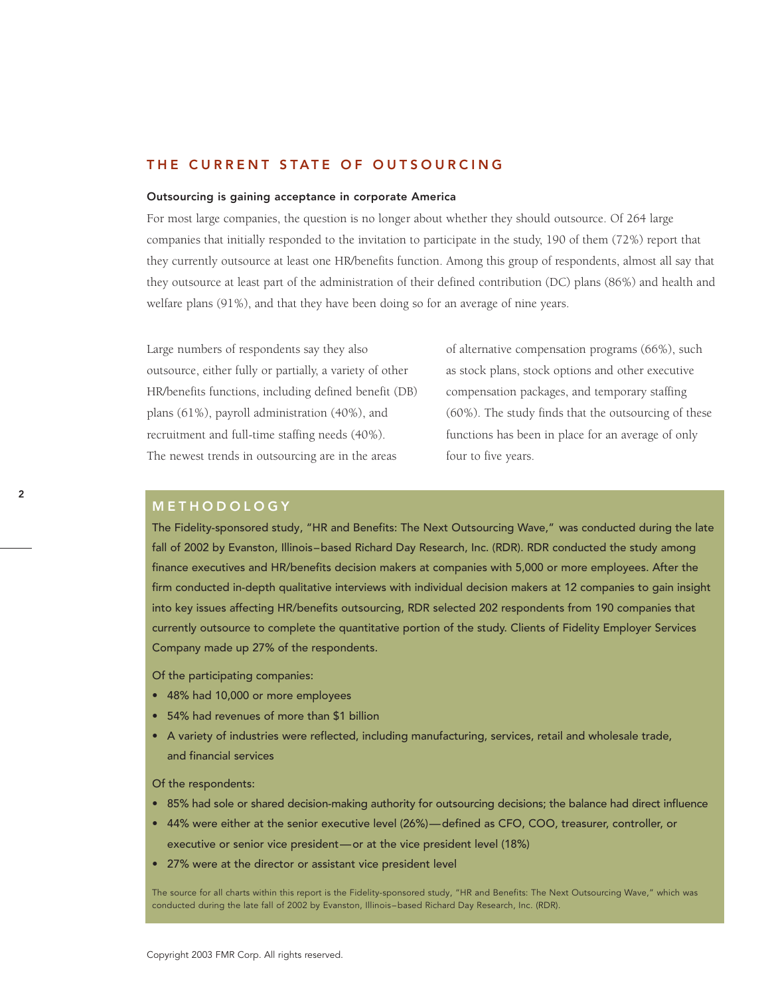### THE CURRENT STATE OF OUTSOURCING

#### Outsourcing is gaining acceptance in corporate America

For most large companies, the question is no longer about whether they should outsource. Of 264 large companies that initially responded to the invitation to participate in the study, 190 of them (72%) report that they currently outsource at least one HR/benefits function. Among this group of respondents, almost all say that they outsource at least part of the administration of their defined contribution (DC) plans (86%) and health and welfare plans (91%), and that they have been doing so for an average of nine years.

Large numbers of respondents say they also outsource, either fully or partially, a variety of other HR/benefits functions, including defined benefit (DB) plans (61%), payroll administration (40%), and recruitment and full-time staffing needs (40%). The newest trends in outsourcing are in the areas

of alternative compensation programs (66%), such as stock plans, stock options and other executive compensation packages, and temporary staffing (60%). The study finds that the outsourcing of these functions has been in place for an average of only four to five years.

### METHODOLOGY

The Fidelity-sponsored study, "HR and Benefits: The Next Outsourcing Wave," was conducted during the late fall of 2002 by Evanston, Illinois–based Richard Day Research, Inc. (RDR). RDR conducted the study among finance executives and HR/benefits decision makers at companies with 5,000 or more employees. After the firm conducted in-depth qualitative interviews with individual decision makers at 12 companies to gain insight into key issues affecting HR/benefits outsourcing, RDR selected 202 respondents from 190 companies that currently outsource to complete the quantitative portion of the study. Clients of Fidelity Employer Services Company made up 27% of the respondents.

Of the participating companies:

- 48% had 10,000 or more employees
- 54% had revenues of more than \$1 billion
- A variety of industries were reflected, including manufacturing, services, retail and wholesale trade, and financial services

Of the respondents:

- 85% had sole or shared decision-making authority for outsourcing decisions; the balance had direct influence
- 44% were either at the senior executive level (26%)—defined as CFO, COO, treasurer, controller, or executive or senior vice president—or at the vice president level (18%)
- 27% were at the director or assistant vice president level

The source for all charts within this report is the Fidelity-sponsored study, "HR and Benefits: The Next Outsourcing Wave," which was conducted during the late fall of 2002 by Evanston, Illinois–based Richard Day Research, Inc. (RDR).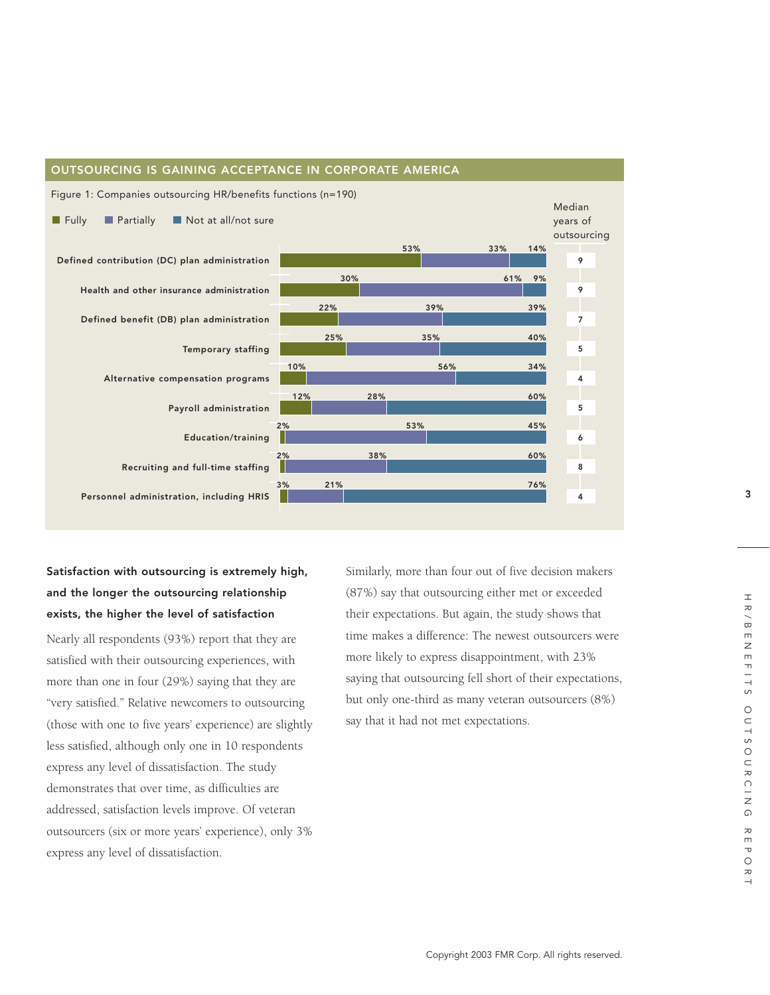

### OUTSOURCING IS GAINING ACCEPTANCE IN CORPORATE AMERICA

# Satisfaction with outsourcing is extremely high, and the longer the outsourcing relationship exists, the higher the level of satisfaction

Nearly all respondents (93%) report that they are satisfied with their outsourcing experiences, with more than one in four (29%) saying that they are "very satisfied." Relative newcomers to outsourcing (those with one to five years' experience) are slightly less satisfied, although only one in 10 respondents express any level of dissatisfaction. The study demonstrates that over time, as difficulties are addressed, satisfaction levels improve. Of veteran outsourcers (six or more years' experience), only 3% express any level of dissatisfaction.

Similarly, more than four out of five decision makers (87%) say that outsourcing either met or exceeded their expectations. But again, the study shows that time makes a difference: The newest outsourcers were more likely to express disappointment, with 23% saying that outsourcing fell short of their expectations, but only one-third as many veteran outsourcers (8%) say that it had not met expectations.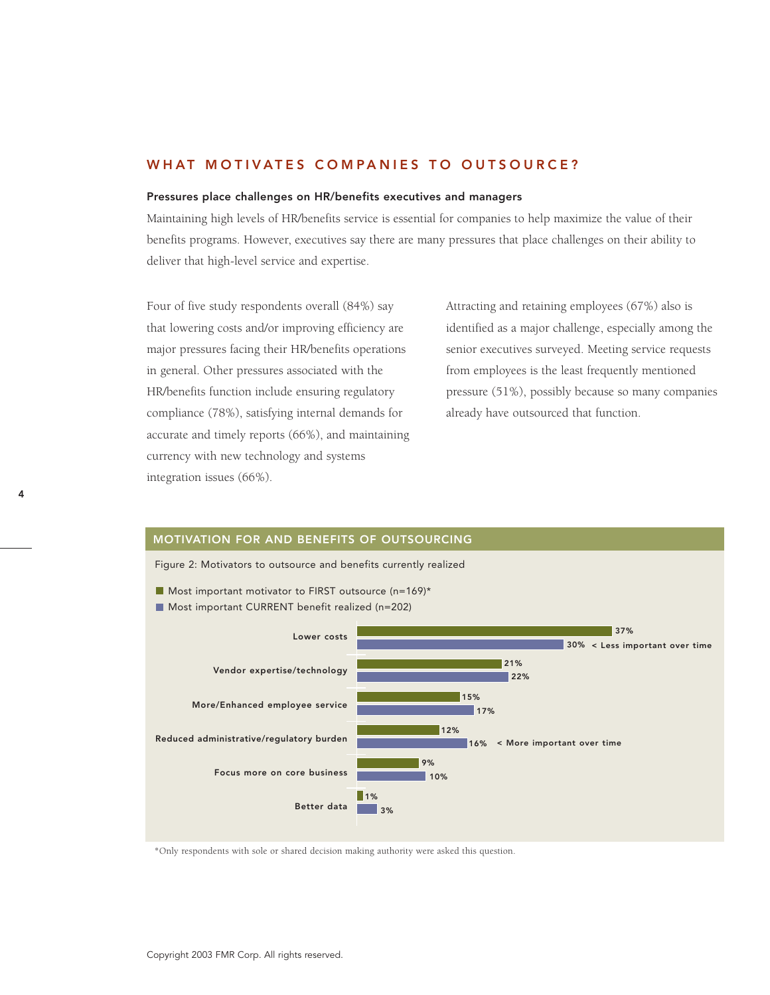### WHAT MOTIVATES COMPANIES TO OUTSOURCE?

#### Pressures place challenges on HR/benefits executives and managers

Maintaining high levels of HR/benefits service is essential for companies to help maximize the value of their benefits programs. However, executives say there are many pressures that place challenges on their ability to deliver that high-level service and expertise.

Four of five study respondents overall (84%) say that lowering costs and/or improving efficiency are major pressures facing their HR/benefits operations in general. Other pressures associated with the HR/benefits function include ensuring regulatory compliance (78%), satisfying internal demands for accurate and timely reports (66%), and maintaining currency with new technology and systems integration issues (66%).

Attracting and retaining employees (67%) also is identified as a major challenge, especially among the senior executives surveyed. Meeting service requests from employees is the least frequently mentioned pressure (51%), possibly because so many companies already have outsourced that function.



\*Only respondents with sole or shared decision making authority were asked this question.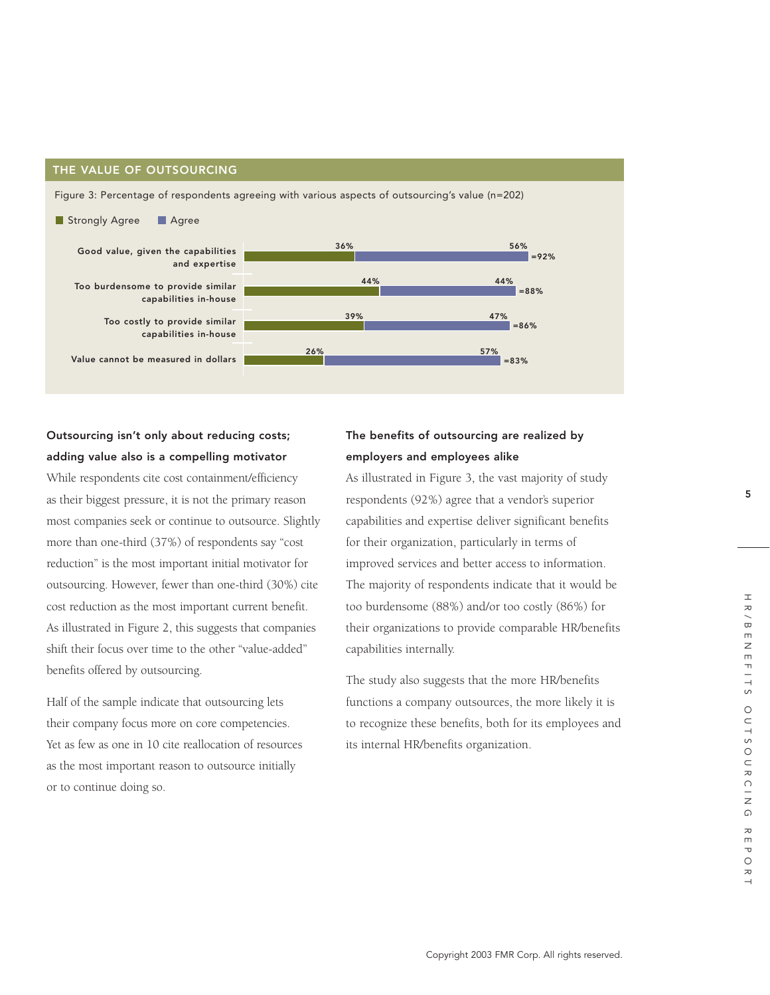### THE VALUE OF OUTSOURCING

Figure 3: Percentage of respondents agreeing with various aspects of outsourcing's value (n=202)



# Outsourcing isn't only about reducing costs; adding value also is a compelling motivator

While respondents cite cost containment/efficiency as their biggest pressure, it is not the primary reason most companies seek or continue to outsource. Slightly more than one-third (37%) of respondents say "cost reduction" is the most important initial motivator for outsourcing. However, fewer than one-third (30%) cite cost reduction as the most important current benefit. As illustrated in Figure 2, this suggests that companies shift their focus over time to the other "value-added" benefits offered by outsourcing.

Half of the sample indicate that outsourcing lets their company focus more on core competencies. Yet as few as one in 10 cite reallocation of resources as the most important reason to outsource initially or to continue doing so.

# The benefits of outsourcing are realized by employers and employees alike

As illustrated in Figure 3, the vast majority of study respondents (92%) agree that a vendor's superior capabilities and expertise deliver significant benefits for their organization, particularly in terms of improved services and better access to information. The majority of respondents indicate that it would be too burdensome (88%) and/or too costly (86%) for their organizations to provide comparable HR/benefits capabilities internally.

The study also suggests that the more HR/benefits functions a company outsources, the more likely it is to recognize these benefits, both for its employees and its internal HR/benefits organization.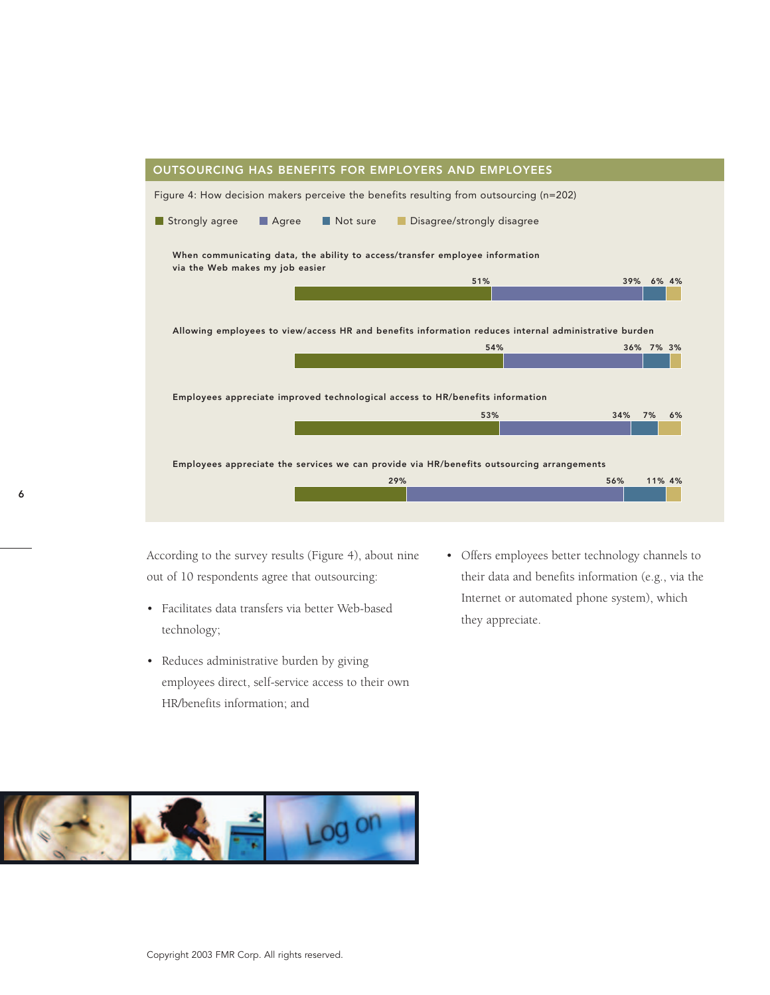

According to the survey results (Figure 4), about nine out of 10 respondents agree that outsourcing:

- Facilitates data transfers via better Web-based technology;
- Reduces administrative burden by giving employees direct, self-service access to their own HR/benefits information; and
- Offers employees better technology channels to their data and benefits information (e.g., via the Internet or automated phone system), which they appreciate.

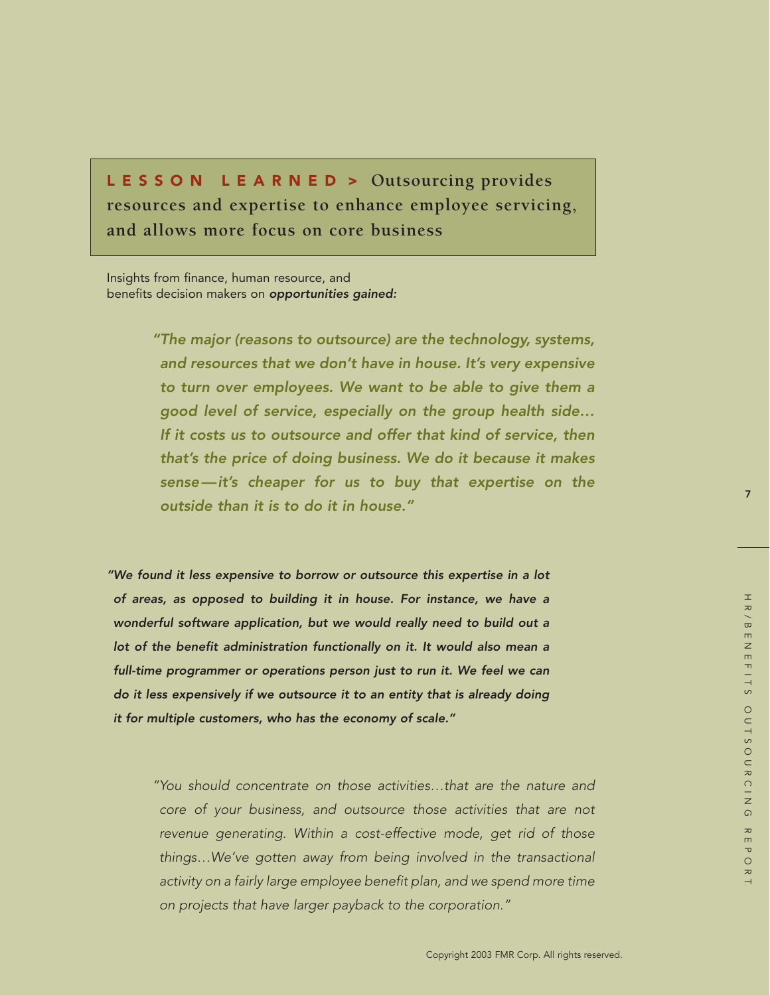LESSON LEARNED > **Outsourcing provides resources and expertise to enhance employee servicing, and allows more focus on core business**

Insights from finance, human resource, and benefits decision makers on *opportunities gained:*

> *"The major (reasons to outsource) are the technology, systems, and resources that we don't have in house. It's very expensive to turn over employees. We want to be able to give them a good level of service, especially on the group health side… If it costs us to outsource and offer that kind of service, then that's the price of doing business. We do it because it makes sense—it's cheaper for us to buy that expertise on the outside than it is to do it in house."*

*"We found it less expensive to borrow or outsource this expertise in a lot of areas, as opposed to building it in house. For instance, we have a wonderful software application, but we would really need to build out a lot of the benefit administration functionally on it. It would also mean a full-time programmer or operations person just to run it. We feel we can do it less expensively if we outsource it to an entity that is already doing it for multiple customers, who has the economy of scale."*

> *"You should concentrate on those activities…that are the nature and core of your business, and outsource those activities that are not revenue generating. Within a cost-effective mode, get rid of those things…We've gotten away from being involved in the transactional activity on a fairly large employee benefit plan, and we spend more time on projects that have larger payback to the corporation."*

7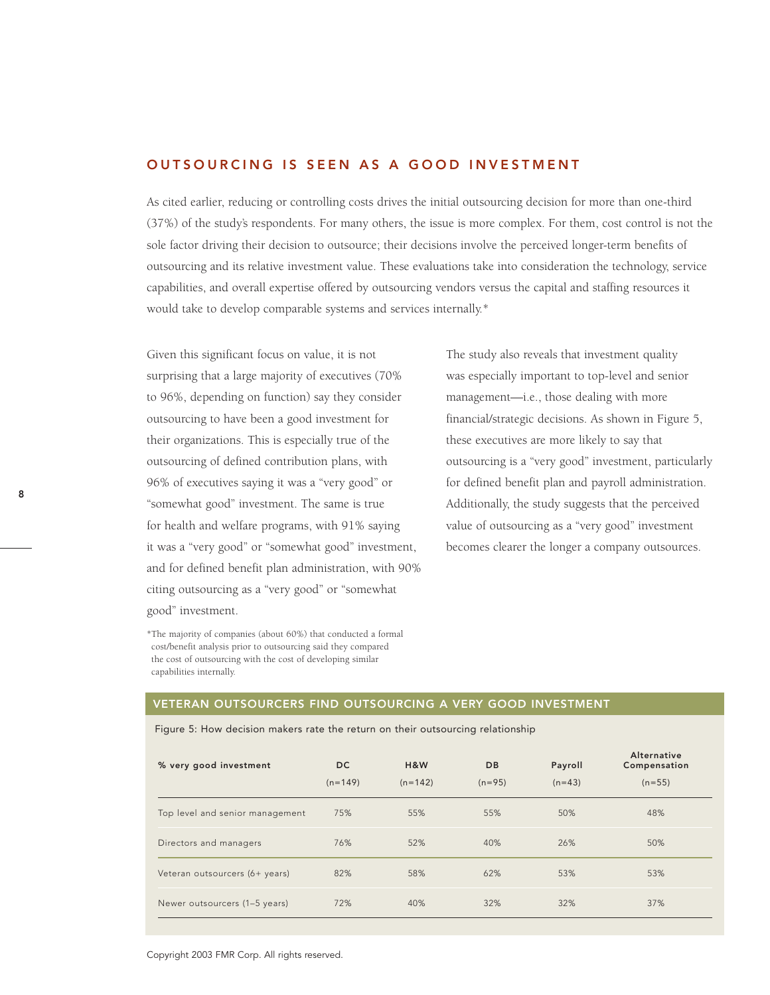### OUTSOURCING IS SEEN AS A GOOD INVESTMENT

As cited earlier, reducing or controlling costs drives the initial outsourcing decision for more than one-third (37%) of the study's respondents. For many others, the issue is more complex. For them, cost control is not the sole factor driving their decision to outsource; their decisions involve the perceived longer-term benefits of outsourcing and its relative investment value. These evaluations take into consideration the technology, service capabilities, and overall expertise offered by outsourcing vendors versus the capital and staffing resources it would take to develop comparable systems and services internally.\*

Given this significant focus on value, it is not surprising that a large majority of executives (70% to 96%, depending on function) say they consider outsourcing to have been a good investment for their organizations. This is especially true of the outsourcing of defined contribution plans, with 96% of executives saying it was a "very good" or "somewhat good" investment. The same is true for health and welfare programs, with 91% saying it was a "very good" or "somewhat good" investment, and for defined benefit plan administration, with 90% citing outsourcing as a "very good" or "somewhat good" investment.

\*The majority of companies (about 60%) that conducted a formal cost/benefit analysis prior to outsourcing said they compared the cost of outsourcing with the cost of developing similar capabilities internally.

The study also reveals that investment quality was especially important to top-level and senior management—i.e., those dealing with more financial/strategic decisions. As shown in Figure 5, these executives are more likely to say that outsourcing is a "very good" investment, particularly for defined benefit plan and payroll administration. Additionally, the study suggests that the perceived value of outsourcing as a "very good" investment becomes clearer the longer a company outsources.

### VETERAN OUTSOURCERS FIND OUTSOURCING A VERY GOOD INVESTMENT

|  |  |  |  | Figure 5: How decision makers rate the return on their outsourcing relationship |
|--|--|--|--|---------------------------------------------------------------------------------|
|  |  |  |  |                                                                                 |

| % very good investment          | DC.<br>$(n=149)$ | H&W<br>$(n=142)$ | <b>DB</b><br>$(n=95)$ | Payroll<br>$(n=43)$ | Alternative<br>Compensation<br>$(n=55)$ |
|---------------------------------|------------------|------------------|-----------------------|---------------------|-----------------------------------------|
| Top level and senior management | 75%              | 55%              | 55%                   | 50%                 | 48%                                     |
| Directors and managers          | 76%              | 52%              | 40%                   | 26%                 | 50%                                     |
| Veteran outsourcers (6+ years)  | 82%              | 58%              | 62%                   | 53%                 | 53%                                     |
| Newer outsourcers (1-5 years)   | 72%              | 40%              | 32%                   | 32%                 | 37%                                     |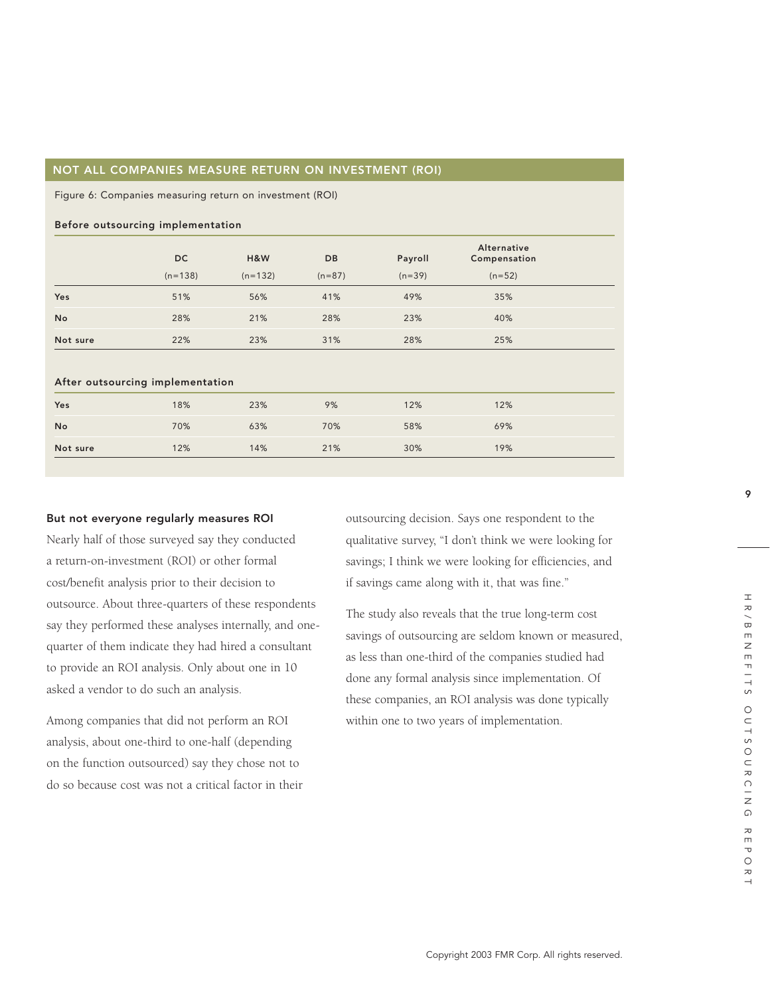### NOT ALL COMPANIES MEASURE RETURN ON INVESTMENT (ROI)

Figure 6: Companies measuring return on investment (ROI)

# Before outsourcing implementation DC H&W DB Payroll Compensation

|                                  |           |           |          | $\sim$   | .        |  |
|----------------------------------|-----------|-----------|----------|----------|----------|--|
|                                  | $(n=138)$ | $(n=132)$ | $(n=87)$ | $(n=39)$ | $(n=52)$ |  |
| Yes                              | 51%       | 56%       | 41%      | 49%      | 35%      |  |
| No                               | 28%       | 21%       | 28%      | 23%      | 40%      |  |
| Not sure                         | 22%       | 23%       | 31%      | 28%      | 25%      |  |
|                                  |           |           |          |          |          |  |
| After outsourcing implementation |           |           |          |          |          |  |
| Yes                              | 18%       | 23%       | 9%       | 12%      | 12%      |  |
| No                               | 70%       | 63%       | 70%      | 58%      | 69%      |  |
| Not sure                         | 12%       | 14%       | 21%      | 30%      | 19%      |  |

### But not everyone regularly measures ROI

Nearly half of those surveyed say they conducted a return-on-investment (ROI) or other formal cost/benefit analysis prior to their decision to outsource. About three-quarters of these respondents say they performed these analyses internally, and onequarter of them indicate they had hired a consultant to provide an ROI analysis. Only about one in 10 asked a vendor to do such an analysis.

Among companies that did not perform an ROI analysis, about one-third to one-half (depending on the function outsourced) say they chose not to do so because cost was not a critical factor in their outsourcing decision. Says one respondent to the qualitative survey, "I don't think we were looking for savings; I think we were looking for efficiencies, and if savings came along with it, that was fine."

Alternative

The study also reveals that the true long-term cost savings of outsourcing are seldom known or measured, as less than one-third of the companies studied had done any formal analysis since implementation. Of these companies, an ROI analysis was done typically within one to two years of implementation.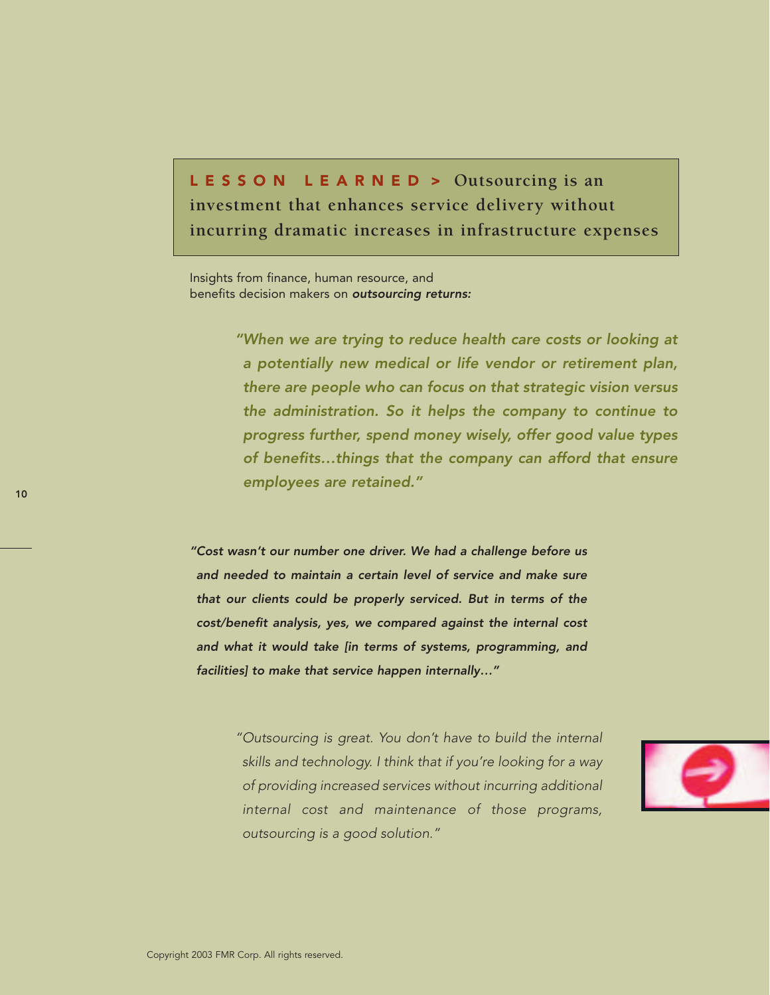LESSON LEARNED > **Outsourcing is an investment that enhances service delivery without incurring dramatic increases in infrastructure expenses**

Insights from finance, human resource, and benefits decision makers on *outsourcing returns:*

> *"When we are trying to reduce health care costs or looking at a potentially new medical or life vendor or retirement plan, there are people who can focus on that strategic vision versus the administration. So it helps the company to continue to progress further, spend money wisely, offer good value types of benefits…things that the company can afford that ensure employees are retained."*

*"Cost wasn't our number one driver. We had a challenge before us and needed to maintain a certain level of service and make sure that our clients could be properly serviced. But in terms of the cost/benefit analysis, yes, we compared against the internal cost and what it would take [in terms of systems, programming, and facilities] to make that service happen internally…"*

> *"Outsourcing is great. You don't have to build the internal skills and technology. I think that if you're looking for a way of providing increased services without incurring additional internal cost and maintenance of those programs, outsourcing is a good solution."*



10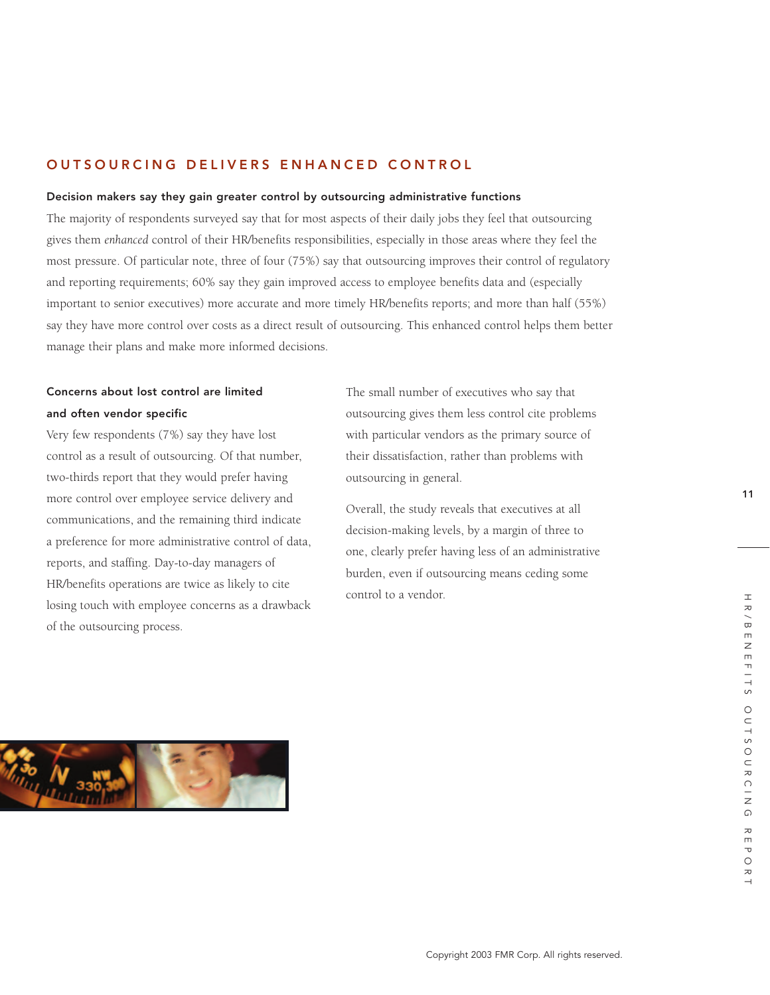# OUTSOURCING DELIVERS ENHANCED CONTROL

### Decision makers say they gain greater control by outsourcing administrative functions

The majority of respondents surveyed say that for most aspects of their daily jobs they feel that outsourcing gives them *enhanced* control of their HR/benefits responsibilities, especially in those areas where they feel the most pressure. Of particular note, three of four (75%) say that outsourcing improves their control of regulatory and reporting requirements; 60% say they gain improved access to employee benefits data and (especially important to senior executives) more accurate and more timely HR/benefits reports; and more than half (55%) say they have more control over costs as a direct result of outsourcing. This enhanced control helps them better manage their plans and make more informed decisions.

# Concerns about lost control are limited and often vendor specific

Very few respondents (7%) say they have lost control as a result of outsourcing. Of that number, two-thirds report that they would prefer having more control over employee service delivery and communications, and the remaining third indicate a preference for more administrative control of data, reports, and staffing. Day-to-day managers of HR/benefits operations are twice as likely to cite losing touch with employee concerns as a drawback of the outsourcing process.

The small number of executives who say that outsourcing gives them less control cite problems with particular vendors as the primary source of their dissatisfaction, rather than problems with outsourcing in general.

Overall, the study reveals that executives at all decision-making levels, by a margin of three to one, clearly prefer having less of an administrative burden, even if outsourcing means ceding some control to a vendor.



11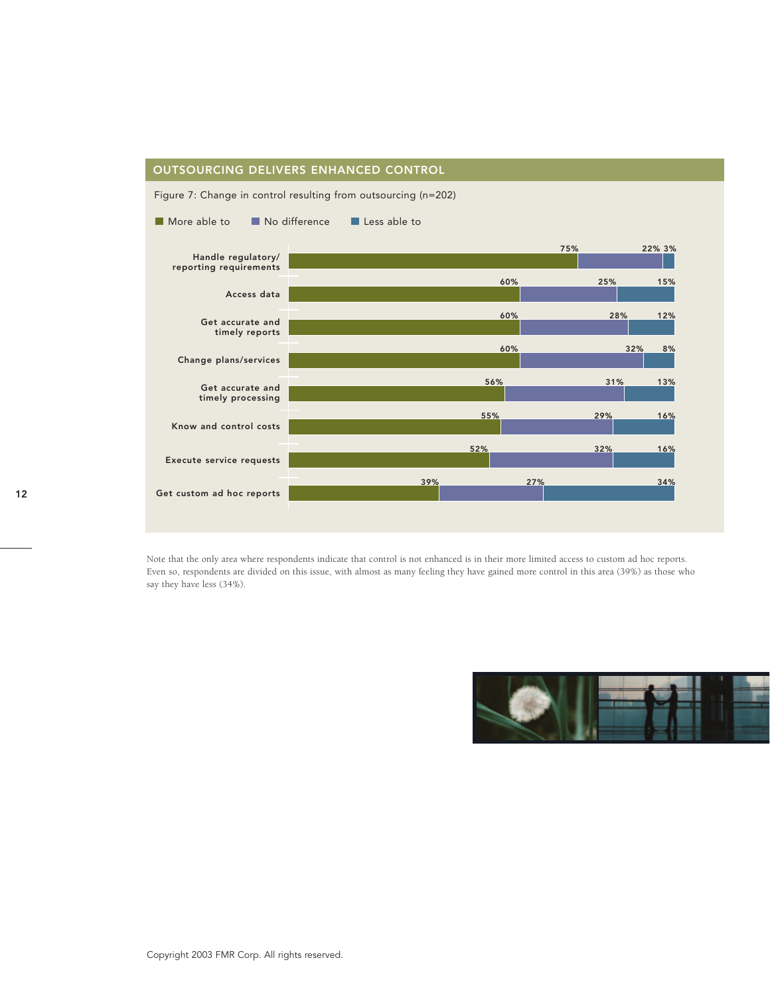### OUTSOURCING DELIVERS ENHANCED CONTROL



Figure 7: Change in control resulting from outsourcing (n=202)

Note that the only area where respondents indicate that control is not enhanced is in their more limited access to custom ad hoc reports. Even so, respondents are divided on this issue, with almost as many feeling they have gained more control in this area (39%) as those who say they have less (34%).

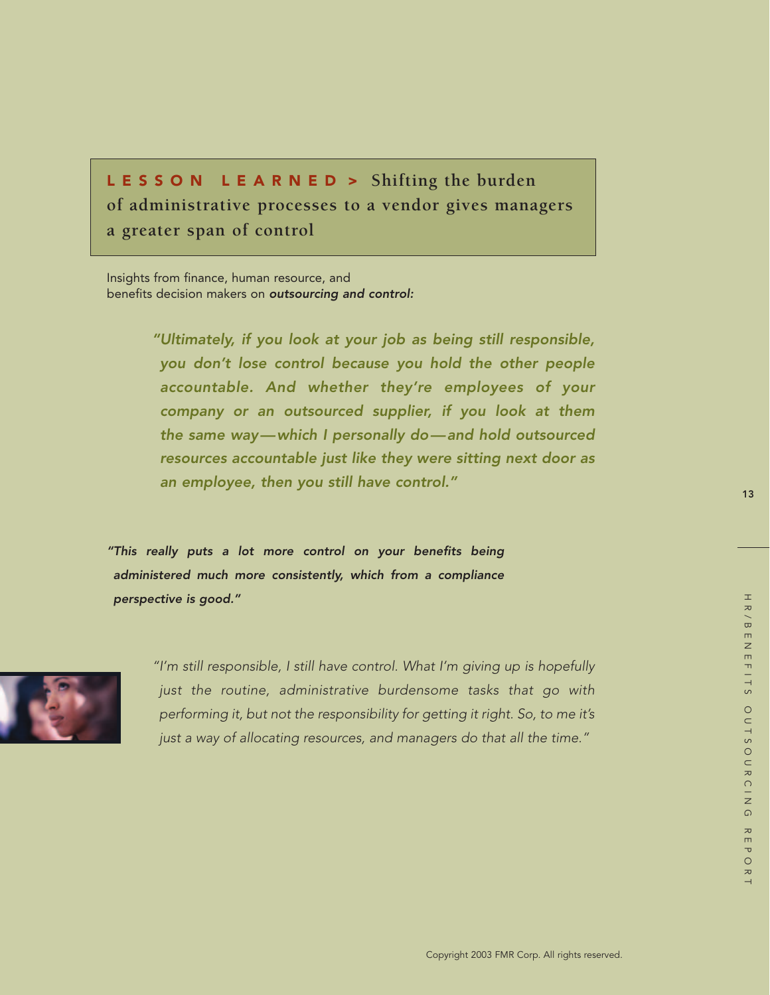LESSON LEARNED > **Shifting the burden of administrative processes to a vendor gives managers a greater span of control**

Insights from finance, human resource, and benefits decision makers on *outsourcing and control:*

> *"Ultimately, if you look at your job as being still responsible, you don't lose control because you hold the other people accountable. And whether they're employees of your company or an outsourced supplier, if you look at them the same way—which I personally do—and hold outsourced resources accountable just like they were sitting next door as an employee, then you still have control."*

*"This really puts a lot more control on your benefits being administered much more consistently, which from a compliance perspective is good."*



*"I'm still responsible, I still have control. What I'm giving up is hopefully just the routine, administrative burdensome tasks that go with performing it, but not the responsibility for getting it right. So, to me it's just a way of allocating resources, and managers do that all the time."*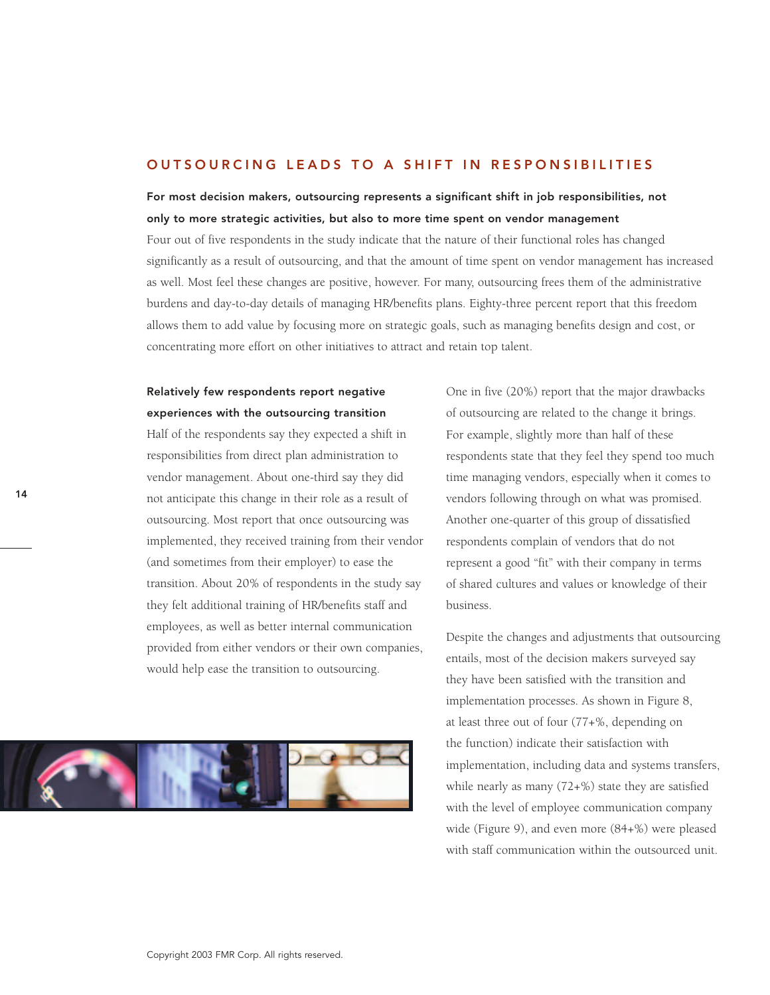### OUTSOURCING LEADS TO A SHIFT IN RESPONSIBILITIES

For most decision makers, outsourcing represents a significant shift in job responsibilities, not only to more strategic activities, but also to more time spent on vendor management

Four out of five respondents in the study indicate that the nature of their functional roles has changed significantly as a result of outsourcing, and that the amount of time spent on vendor management has increased as well. Most feel these changes are positive, however. For many, outsourcing frees them of the administrative burdens and day-to-day details of managing HR/benefits plans. Eighty-three percent report that this freedom allows them to add value by focusing more on strategic goals, such as managing benefits design and cost, or concentrating more effort on other initiatives to attract and retain top talent.

# Relatively few respondents report negative experiences with the outsourcing transition

Half of the respondents say they expected a shift in responsibilities from direct plan administration to vendor management. About one-third say they did not anticipate this change in their role as a result of outsourcing. Most report that once outsourcing was implemented, they received training from their vendor (and sometimes from their employer) to ease the transition. About 20% of respondents in the study say they felt additional training of HR/benefits staff and employees, as well as better internal communication provided from either vendors or their own companies, would help ease the transition to outsourcing.



One in five (20%) report that the major drawbacks of outsourcing are related to the change it brings. For example, slightly more than half of these respondents state that they feel they spend too much time managing vendors, especially when it comes to vendors following through on what was promised. Another one-quarter of this group of dissatisfied respondents complain of vendors that do not represent a good "fit" with their company in terms of shared cultures and values or knowledge of their business.

Despite the changes and adjustments that outsourcing entails, most of the decision makers surveyed say they have been satisfied with the transition and implementation processes. As shown in Figure 8, at least three out of four (77+%, depending on the function) indicate their satisfaction with implementation, including data and systems transfers, while nearly as many (72+%) state they are satisfied with the level of employee communication company wide (Figure 9), and even more (84+%) were pleased with staff communication within the outsourced unit.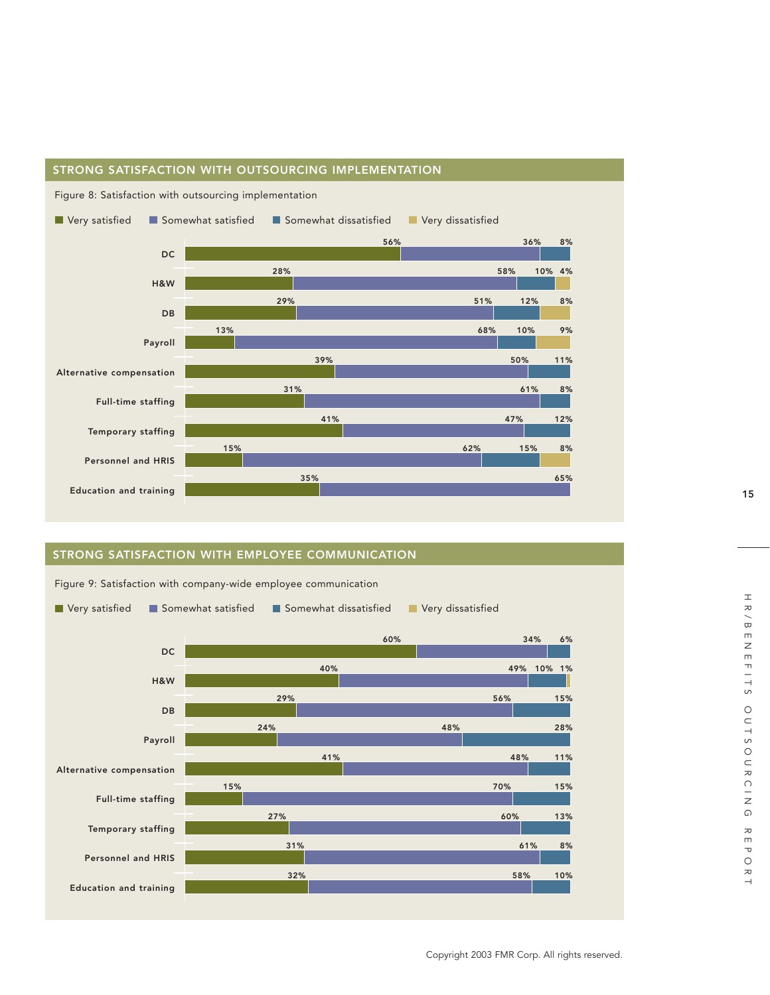

### STRONG SATISFACTION WITH OUTSOURCING IMPLEMENTATION

# STRONG SATISFACTION WITH EMPLOYEE COMMUNICATION



Figure 9: Satisfaction with company-wide employee communication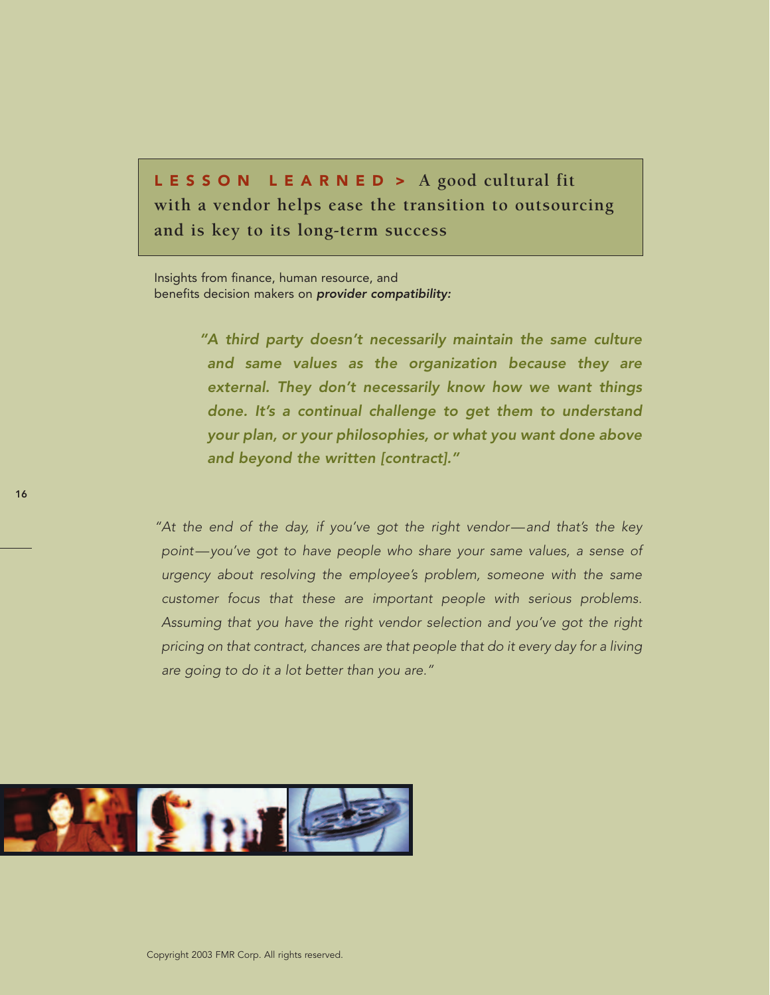LESSON LEARNED > **A good cultural fit with a vendor helps ease the transition to outsourcing and is key to its long-term success**

Insights from finance, human resource, and benefits decision makers on *provider compatibility:*

> *"A third party doesn't necessarily maintain the same culture and same values as the organization because they are external. They don't necessarily know how we want things done. It's a continual challenge to get them to understand your plan, or your philosophies, or what you want done above and beyond the written [contract]."*

*"At the end of the day, if you've got the right vendor—and that's the key point—you've got to have people who share your same values, a sense of urgency about resolving the employee's problem, someone with the same customer focus that these are important people with serious problems. Assuming that you have the right vendor selection and you've got the right pricing on that contract, chances are that people that do it every day for a living are going to do it a lot better than you are."*

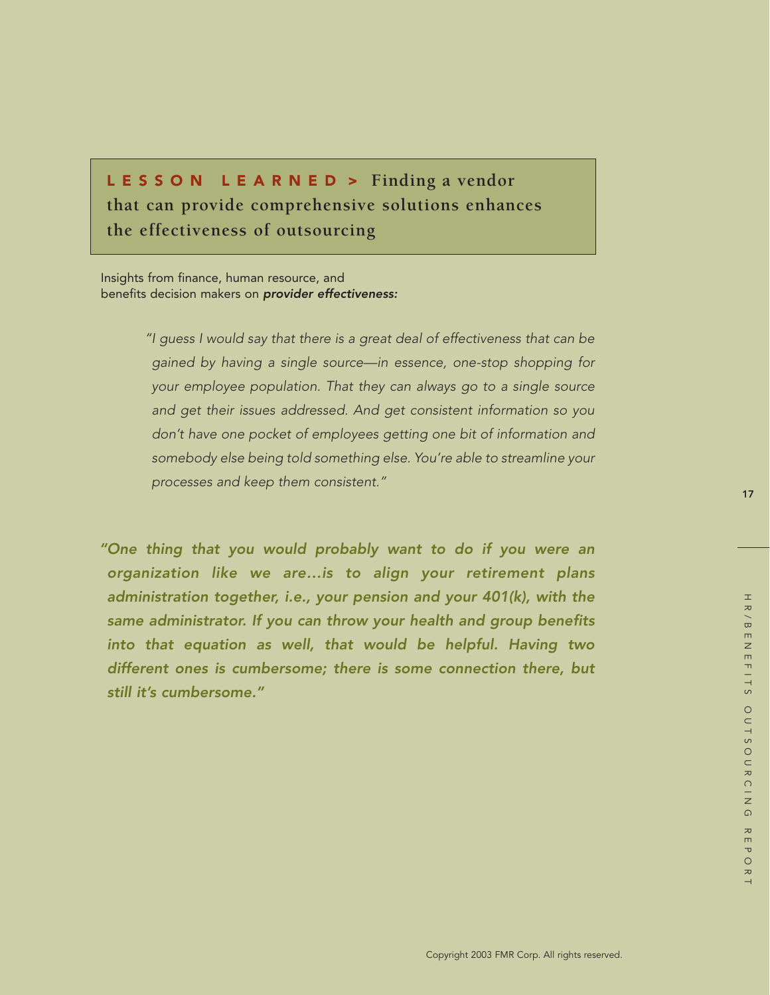# LESSON LEARNED > **Finding a vendor that can provide comprehensive solutions enhances the effectiveness of outsourcing**

Insights from finance, human resource, and benefits decision makers on *provider effectiveness:*

> *"I guess I would say that there is a great deal of effectiveness that can be gained by having a single source—in essence, one-stop shopping for your employee population. That they can always go to a single source and get their issues addressed. And get consistent information so you don't have one pocket of employees getting one bit of information and somebody else being told something else. You're able to streamline your processes and keep them consistent."*

*"One thing that you would probably want to do if you were an organization like we are…is to align your retirement plans administration together, i.e., your pension and your 401(k), with the same administrator. If you can throw your health and group benefits into that equation as well, that would be helpful. Having two different ones is cumbersome; there is some connection there, but still it's cumbersome."*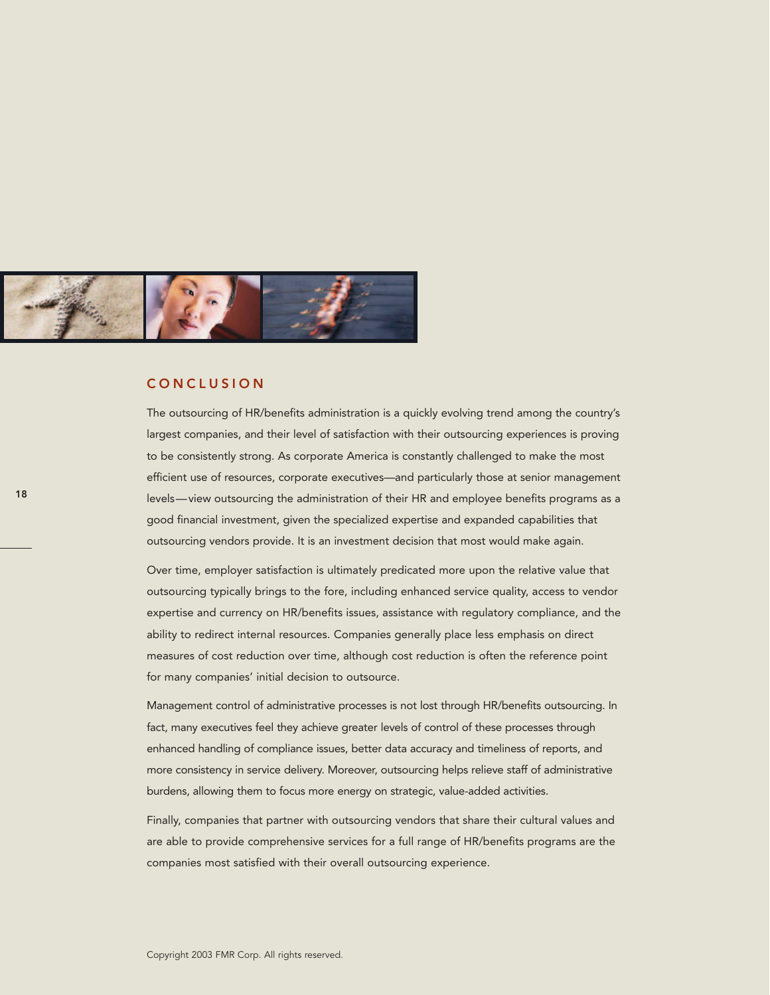

### CONCLUSION

The outsourcing of HR/benefits administration is a quickly evolving trend among the country's largest companies, and their level of satisfaction with their outsourcing experiences is proving to be consistently strong. As corporate America is constantly challenged to make the most efficient use of resources, corporate executives—and particularly those at senior management levels—view outsourcing the administration of their HR and employee benefits programs as a good financial investment, given the specialized expertise and expanded capabilities that outsourcing vendors provide. It is an investment decision that most would make again.

Over time, employer satisfaction is ultimately predicated more upon the relative value that outsourcing typically brings to the fore, including enhanced service quality, access to vendor expertise and currency on HR/benefits issues, assistance with regulatory compliance, and the ability to redirect internal resources. Companies generally place less emphasis on direct measures of cost reduction over time, although cost reduction is often the reference point for many companies' initial decision to outsource.

Management control of administrative processes is not lost through HR/benefits outsourcing. In fact, many executives feel they achieve greater levels of control of these processes through enhanced handling of compliance issues, better data accuracy and timeliness of reports, and more consistency in service delivery. Moreover, outsourcing helps relieve staff of administrative burdens, allowing them to focus more energy on strategic, value-added activities.

Finally, companies that partner with outsourcing vendors that share their cultural values and are able to provide comprehensive services for a full range of HR/benefits programs are the companies most satisfied with their overall outsourcing experience.